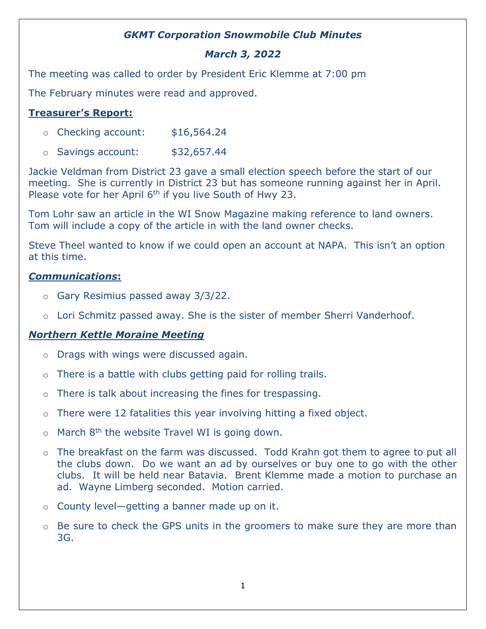## *GKMT Corporation Snowmobile Club Minutes*

# *March 3, 2022*

The meeting was called to order by President Eric Klemme at 7:00 pm

The February minutes were read and approved.

## **Treasurer's Report:**

- o Checking account: \$16,564.24
- $\circ$  Savings account:  $$32,657.44$

Jackie Veldman from District 23 gave a small election speech before the start of our meeting. She is currently in District 23 but has someone running against her in April. Please vote for her April 6<sup>th</sup> if you live South of Hwy 23.

Tom Lohr saw an article in the WI Snow Magazine making reference to land owners. Tom will include a copy of the article in with the land owner checks.

Steve Theel wanted to know if we could open an account at NAPA. This isn't an option at this time.

#### *Communications***:**

- o Gary Resimius passed away 3/3/22.
- o Lori Schmitz passed away. She is the sister of member Sherri Vanderhoof.

#### *Northern Kettle Moraine Meeting*

- o Drags with wings were discussed again.
- $\circ$  There is a battle with clubs getting paid for rolling trails.
- o There is talk about increasing the fines for trespassing.
- $\circ$  There were 12 fatalities this year involving hitting a fixed object.
- $\circ$  March 8<sup>th</sup> the website Travel WI is going down.
- o The breakfast on the farm was discussed. Todd Krahn got them to agree to put all the clubs down. Do we want an ad by ourselves or buy one to go with the other clubs. It will be held near Batavia. Brent Klemme made a motion to purchase an ad. Wayne Limberg seconded. Motion carried.
- o County level—getting a banner made up on it.
- $\circ$  Be sure to check the GPS units in the groomers to make sure they are more than 3G.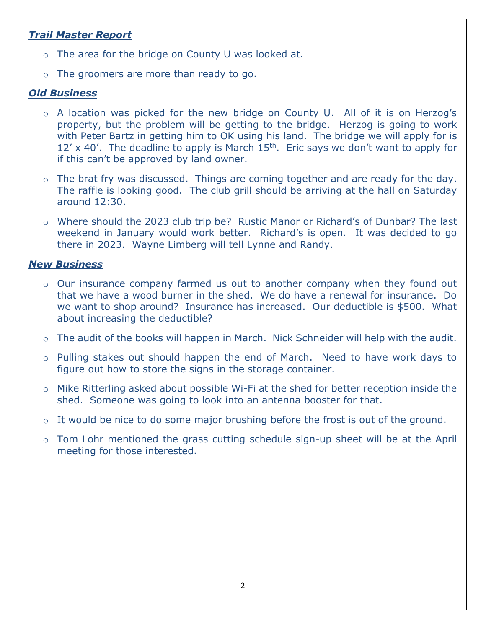## *Trail Master Report*

- o The area for the bridge on County U was looked at.
- o The groomers are more than ready to go.

## *Old Business*

- o A location was picked for the new bridge on County U. All of it is on Herzog's property, but the problem will be getting to the bridge. Herzog is going to work with Peter Bartz in getting him to OK using his land. The bridge we will apply for is  $12'$  x 40'. The deadline to apply is March  $15<sup>th</sup>$ . Eric says we don't want to apply for if this can't be approved by land owner.
- o The brat fry was discussed. Things are coming together and are ready for the day. The raffle is looking good. The club grill should be arriving at the hall on Saturday around 12:30.
- o Where should the 2023 club trip be? Rustic Manor or Richard's of Dunbar? The last weekend in January would work better. Richard's is open. It was decided to go there in 2023. Wayne Limberg will tell Lynne and Randy.

## *New Business*

- o Our insurance company farmed us out to another company when they found out that we have a wood burner in the shed. We do have a renewal for insurance. Do we want to shop around? Insurance has increased. Our deductible is \$500. What about increasing the deductible?
- o The audit of the books will happen in March. Nick Schneider will help with the audit.
- o Pulling stakes out should happen the end of March. Need to have work days to figure out how to store the signs in the storage container.
- o Mike Ritterling asked about possible Wi-Fi at the shed for better reception inside the shed. Someone was going to look into an antenna booster for that.
- o It would be nice to do some major brushing before the frost is out of the ground.
- o Tom Lohr mentioned the grass cutting schedule sign-up sheet will be at the April meeting for those interested.